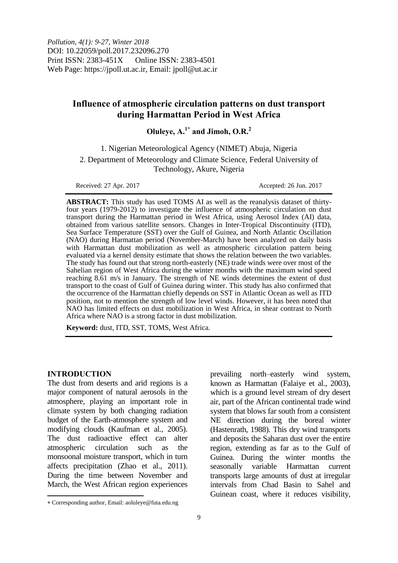# **Influence of atmospheric circulation patterns on dust transport during Harmattan Period in West Africa**

# **Oluleye, A. 1\* and Jimoh, O.R.<sup>2</sup>**

1. Nigerian Meteorological Agency (NIMET) Abuja, Nigeria 2. Department of Meteorology and Climate Science, Federal University of Technology, Akure, Nigeria

Received: 27 Apr. 2017 **Accepted: 26 Jun. 2017** 

**ABSTRACT:** This study has used TOMS AI as well as the reanalysis dataset of thirtyfour years (1979-2012) to investigate the influence of atmospheric circulation on dust transport during the Harmattan period in West Africa, using Aerosol Index (AI) data, obtained from various satellite sensors. Changes in Inter-Tropical Discontinuity (ITD), Sea Surface Temperature (SST) over the Gulf of Guinea, and North Atlantic Oscillation (NAO) during Harmattan period (November-March) have been analyzed on daily basis with Harmattan dust mobilization as well as atmospheric circulation pattern being evaluated via a kernel density estimate that shows the relation between the two variables. The study has found out that strong north-easterly (NE) trade winds were over most of the Sahelian region of West Africa during the winter months with the maximum wind speed reaching 8.61 m/s in January. The strength of NE winds determines the extent of dust transport to the coast of Gulf of Guinea during winter. This study has also confirmed that the occurrence of the Harmattan chiefly depends on SST in Atlantic Ocean as well as ITD position, not to mention the strength of low level winds. However, it has been noted that NAO has limited effects on dust mobilization in West Africa, in shear contrast to North Africa where NAO is a strong factor in dust mobilization.

**Keyword:** dust, ITD, SST, TOMS, West Africa.

#### **INTRODUCTION**

 $\overline{a}$ 

The dust from deserts and arid regions is a major component of natural aerosols in the atmosphere, playing an important role in climate system by both changing radiation budget of the Earth-atmosphere system and modifying clouds (Kaufman et al., 2005). The dust radioactive effect can alter atmospheric circulation such as the monsoonal moisture transport, which in turn affects precipitation (Zhao et al., 2011). During the time between November and March, the West African region experiences

prevailing north–easterly wind system, known as Harmattan (Falaiye et al., 2003), which is a ground level stream of dry desert air, part of the African continental trade wind system that blows far south from a consistent NE direction during the boreal winter (Hastenrath, 1988). This dry wind transports and deposits the Saharan dust over the entire region, extending as far as to the Gulf of Guinea. During the winter months the seasonally variable Harmattan current transports large amounts of dust at irregular intervals from Chad Basin to Sahel and Guinean coast, where it reduces visibility,

Corresponding author, Email: aoluleye@futa.edu.ng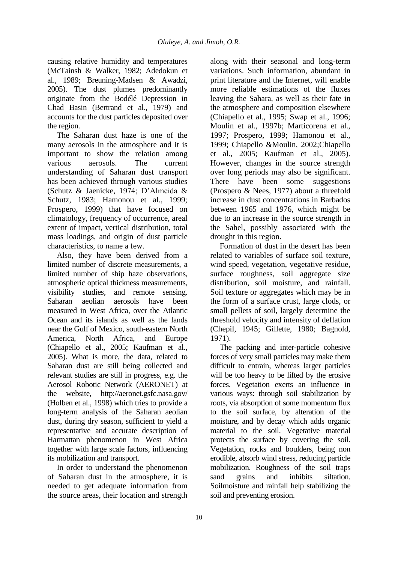causing relative humidity and temperatures (McTainsh & Walker, 1982; Adedokun et al., 1989; Breuning-Madsen & Awadzi, 2005). The dust plumes predominantly originate from the Bodélé Depression in Chad Basin (Bertrand et al., 1979) and accounts for the dust particles deposited over the region.

The Saharan dust haze is one of the many aerosols in the atmosphere and it is important to show the relation among various aerosols. The current understanding of Saharan dust transport has been achieved through various studies (Schutz & Jaenicke, 1974; D'Almeida & Schutz, 1983; Hamonou et al., 1999; Prospero, 1999) that have focused on climatology, frequency of occurrence, areal extent of impact, vertical distribution, total mass loadings, and origin of dust particle characteristics, to name a few.

Also, they have been derived from a limited number of discrete measurements, a limited number of ship haze observations, atmospheric optical thickness measurements, visibility studies, and remote sensing. Saharan aeolian aerosols have been measured in West Africa, over the Atlantic Ocean and its islands as well as the lands near the Gulf of Mexico, south-eastern North America, North Africa, and Europe (Chiapello et al., 2005; Kaufman et al., 2005). What is more, the data, related to Saharan dust are still being collected and relevant studies are still in progress, e.g. the Aerosol Robotic Network (AERONET) at the website, http://aeronet.gsfc.nasa.gov/ (Holben et al., 1998) which tries to provide a long-term analysis of the Saharan aeolian dust, during dry season, sufficient to yield a representative and accurate description of Harmattan phenomenon in West Africa together with large scale factors, influencing its mobilization and transport.

In order to understand the phenomenon of Saharan dust in the atmosphere, it is needed to get adequate information from the source areas, their location and strength along with their seasonal and long-term variations. Such information, abundant in print literature and the Internet, will enable more reliable estimations of the fluxes leaving the Sahara, as well as their fate in the atmosphere and composition elsewhere (Chiapello et al., 1995; Swap et al., 1996; Moulin et al., 1997b; Marticorena et al., 1997; Prospero, 1999; Hamonou et al., 1999; Chiapello &Moulin, 2002;Chiapello et al., 2005; Kaufman et al., 2005). However, changes in the source strength over long periods may also be significant. There have been some suggestions (Prospero & Nees, 1977) about a threefold increase in dust concentrations in Barbados between 1965 and 1976, which might be due to an increase in the source strength in the Sahel, possibly associated with the drought in this region.

Formation of dust in the desert has been related to variables of surface soil texture, wind speed, vegetation, vegetative residue, surface roughness, soil aggregate size distribution, soil moisture, and rainfall. Soil texture or aggregates which may be in the form of a surface crust, large clods, or small pellets of soil, largely determine the threshold velocity and intensity of deflation (Chepil, 1945; Gillette, 1980; Bagnold, 1971).

The packing and inter-particle cohesive forces of very small particles may make them difficult to entrain, whereas larger particles will be too heavy to be lifted by the erosive forces. Vegetation exerts an influence in various ways: through soil stabilization by roots, via absorption of some momentum flux to the soil surface, by alteration of the moisture, and by decay which adds organic material to the soil. Vegetative material protects the surface by covering the soil. Vegetation, rocks and boulders, being non erodible, absorb wind stress, reducing particle mobilization. Roughness of the soil traps sand grains and inhibits siltation. Soilmoisture and rainfall help stabilizing the soil and preventing erosion.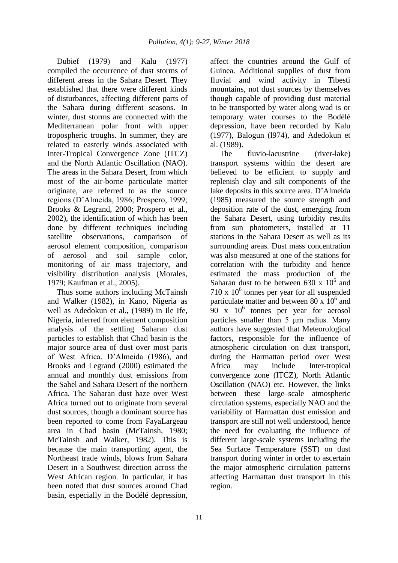Dubief (1979) and Kalu (1977) compiled the occurrence of dust storms of different areas in the Sahara Desert. They established that there were different kinds of disturbances, affecting different parts of the Sahara during different seasons. In winter, dust storms are connected with the Mediterranean polar front with upper tropospheric troughs. In summer, they are related to easterly winds associated with Inter-Tropical Convergence Zone (ITCZ) and the North Atlantic Oscillation (NAO). The areas in the Sahara Desert, from which most of the air-borne particulate matter originate, are referred to as the source regions (D'Almeida, 1986; Prospero, 1999; Brooks & Legrand, 2000; Prospero et al., 2002), the identification of which has been done by different techniques including satellite observations, comparison of aerosol element composition, comparison of aerosol and soil sample color, monitoring of air mass trajectory, and visibility distribution analysis (Morales, 1979; Kaufman et al., 2005).

Thus some authors including McTainsh and Walker (1982), in Kano, Nigeria as well as Adedokun et al., (1989) in Ile Ife, Nigeria, inferred from element composition analysis of the settling Saharan dust particles to establish that Chad basin is the major source area of dust over most parts of West Africa. D'Almeida (1986), and Brooks and Legrand (2000) estimated the annual and monthly dust emissions from the Sahel and Sahara Desert of the northern Africa. The Saharan dust haze over West Africa turned out to originate from several dust sources, though a dominant source has been reported to come from FayaLargeau area in Chad basin (McTainsh, 1980; McTainsh and Walker, 1982). This is because the main transporting agent, the Northeast trade winds, blows from Sahara Desert in a Southwest direction across the West African region. In particular, it has been noted that dust sources around Chad basin, especially in the Bodélé depression,

affect the countries around the Gulf of Guinea. Additional supplies of dust from fluvial and wind activity in Tibesti mountains, not dust sources by themselves though capable of providing dust material to be transported by water along wad is or temporary water courses to the Bodélé depression, have been recorded by Kalu (1977), Balogun (l974), and Adedokun et al. (1989).

The fluvio-lacustrine (river-lake) transport systems within the desert are believed to be efficient to supply and replenish clay and silt components of the lake deposits in this source area. D'Almeida (1985) measured the source strength and deposition rate of the dust, emerging from the Sahara Desert, using turbidity results from sun photometers, installed at 11 stations in the Sahara Desert as well as its surrounding areas. Dust mass concentration was also measured at one of the stations for correlation with the turbidity and hence estimated the mass production of the Saharan dust to be between 630 x  $10^6$  and  $710 \times 10^6$  tonnes per year for all suspended particulate matter and between  $80 \times 10^6$  and  $90 \times 10^6$  tonnes per year for aerosol particles smaller than 5 μm radius. Many authors have suggested that Meteorological factors, responsible for the influence of atmospheric circulation on dust transport, during the Harmattan period over West Africa may include Inter-tropical convergence zone (ITCZ), North Atlantic Oscillation (NAO) etc. However, the links between these large–scale atmospheric circulation systems, especially NAO and the variability of Harmattan dust emission and transport are still not well understood, hence the need for evaluating the influence of different large-scale systems including the Sea Surface Temperature (SST) on dust transport during winter in order to ascertain the major atmospheric circulation patterns affecting Harmattan dust transport in this region.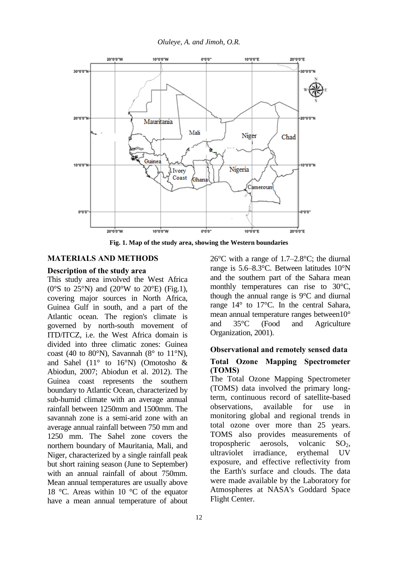*Oluleye, A. and Jimoh, O.R.*



**Fig. 1. Map of the study area, showing the Western boundaries**

## **MATERIALS AND METHODS**

#### **Description of the study area**

This study area involved the West Africa ( $0^{\circ}$ S to 25°N) and ( $20^{\circ}$ W to  $20^{\circ}$ E) (Fig.1), covering major sources in North Africa, Guinea Gulf in south, and a part of the Atlantic ocean. The region's climate is governed by north-south movement of ITD/ITCZ, i.e. the West Africa domain is divided into three climatic zones: Guinea coast (40 to 80 $\textdegree$ N), Savannah (8 $\textdegree$  to 11 $\textdegree$ N), and Sahel ( $11^\circ$  to  $16^\circ$ N) (Omotosho & Abiodun, 2007; Abiodun et al. 2012). The Guinea coast represents the southern boundary to Atlantic Ocean, characterized by sub-humid climate with an average annual rainfall between 1250mm and 1500mm. The savannah zone is a semi-arid zone with an average annual rainfall between 750 mm and 1250 mm. The Sahel zone covers the northern boundary of Mauritania, Mali, and Niger, characterized by a single rainfall peak but short raining season (June to September) with an annual rainfall of about 750mm. Mean annual temperatures are usually above 18 °C. Areas within 10 °C of the equator have a mean annual temperature of about

26°C with a range of 1.7–2.8°C; the diurnal range is 5.6–8.3°C. Between latitudes 10°N and the southern part of the Sahara mean monthly temperatures can rise to 30°C, though the annual range is 9°C and diurnal range 14° to 17°C. In the central Sahara, mean annual temperature ranges between10° and 35°C (Food and Agriculture Organization, 2001).

#### **Observational and remotely sensed data**

## **Total Ozone Mapping Spectrometer (TOMS)**

The Total Ozone Mapping Spectrometer (TOMS) data involved the primary longterm, continuous record of satellite-based observations, available for use in monitoring global and regional trends in total ozone over more than 25 years. TOMS also provides measurements of tropospheric aerosols, volcanic  $SO<sub>2</sub>$ , ultraviolet irradiance, erythemal UV exposure, and effective reflectivity from the Earth's surface and clouds. The data were made available by the Laboratory for Atmospheres at NASA's Goddard Space Flight Center.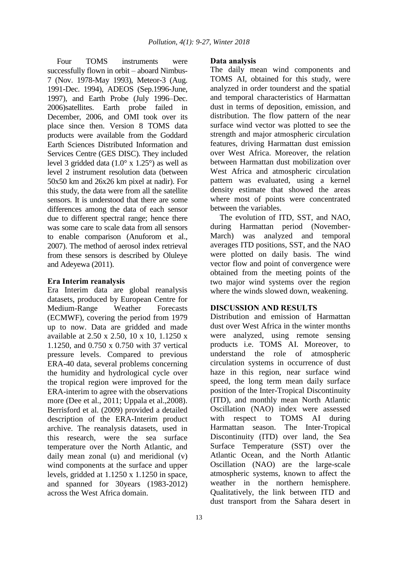Four TOMS instruments were successfully flown in orbit – aboard Nimbus-7 (Nov. 1978-May 1993), Meteor-3 (Aug. 1991-Dec. 1994), ADEOS (Sep.1996-June, 1997), and Earth Probe (July 1996–Dec. 2006)satellites. Earth probe failed in December, 2006, and OMI took over its place since then. Version 8 TOMS data products were available from the Goddard Earth Sciences Distributed Information and Services Centre (GES DISC). They included level 3 gridded data (1.0° x 1.25°) as well as level 2 instrument resolution data (between 50x50 km and 26x26 km pixel at nadir). For this study, the data were from all the satellite sensors. It is understood that there are some differences among the data of each sensor due to different spectral range; hence there was some care to scale data from all sensors to enable comparison (Anuforom et al., 2007). The method of aerosol index retrieval from these sensors is described by Oluleye and Adeyewa (2011).

#### **Era Interim reanalysis**

Era Interim data are global reanalysis datasets, produced by European Centre for Medium-Range Weather Forecasts (ECMWF), covering the period from 1979 up to now. Data are gridded and made available at 2.50 x 2.50, 10 x 10, 1.1250 x 1.1250, and 0.750 x 0.750 with 37 vertical pressure levels. Compared to previous ERA-40 data, several problems concerning the humidity and hydrological cycle over the tropical region were improved for the ERA-interim to agree with the observations more (Dee et al., 2011; Uppala et al.,2008). Berrisford et al. (2009) provided a detailed description of the ERA-Interim product archive. The reanalysis datasets, used in this research, were the sea surface temperature over the North Atlantic, and daily mean zonal (u) and meridional (v) wind components at the surface and upper levels, gridded at 1.1250 x 1.1250 in space, and spanned for 30years (1983-2012) across the West Africa domain.

#### **Data analysis**

The daily mean wind components and TOMS AI, obtained for this study, were analyzed in order tounderst and the spatial and temporal characteristics of Harmattan dust in terms of deposition, emission, and distribution. The flow pattern of the near surface wind vector was plotted to see the strength and major atmospheric circulation features, driving Harmattan dust emission over West Africa. Moreover, the relation between Harmattan dust mobilization over West Africa and atmospheric circulation pattern was evaluated, using a kernel density estimate that showed the areas where most of points were concentrated between the variables.

The evolution of ITD, SST, and NAO, during Harmattan period (November-March) was analyzed and temporal averages ITD positions, SST, and the NAO were plotted on daily basis. The wind vector flow and point of convergence were obtained from the meeting points of the two major wind systems over the region where the winds slowed down, weakening.

## **DISCUSSION AND RESULTS**

Distribution and emission of Harmattan dust over West Africa in the winter months were analyzed, using remote sensing products i.e. TOMS AI. Moreover, to understand the role of atmospheric circulation systems in occurrence of dust haze in this region, near surface wind speed, the long term mean daily surface position of the Inter-Tropical Discontinuity (ITD), and monthly mean North Atlantic Oscillation (NAO) index were assessed with respect to TOMS AI during Harmattan season. The Inter-Tropical Discontinuity (ITD) over land, the Sea Surface Temperature (SST) over the Atlantic Ocean, and the North Atlantic Oscillation (NAO) are the large-scale atmospheric systems, known to affect the weather in the northern hemisphere. Qualitatively, the link between ITD and dust transport from the Sahara desert in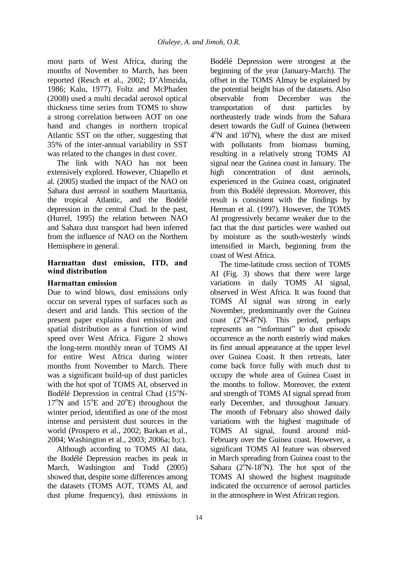most parts of West Africa, during the months of November to March, has been reported (Resch et al., 2002; D'Almeida, 1986; Kalu, 1977). Foltz and McPhaden (2008) used a multi decadal aerosol optical thickness time series from TOMS to show a strong correlation between AOT on one hand and changes in northern tropical Atlantic SST on the other, suggesting that 35% of the inter-annual variability in SST was related to the changes in dust cover.

The link with NAO has not been extensively explored. However, Chiapello et al. (2005) studied the impact of the NAO on Sahara dust aerosol in southern Mauritania, the tropical Atlantic, and the Bodélé depression in the central Chad. In the past, (Hurrel, 1995) the relation between NAO and Sahara dust transport had been inferred from the influence of NAO on the Northern Hemisphere in general.

## **Harmattan dust emission, ITD, and wind distribution**

## **Harmattan emission**

Due to wind blows, dust emissions only occur on several types of surfaces such as desert and arid lands. This section of the present paper explains dust emission and spatial distribution as a function of wind speed over West Africa. Figure 2 shows the long-term monthly mean of TOMS AI for entire West Africa during winter months from November to March. There was a significant build-up of dust particles with the hot spot of TOMS AI, observed in Bodélé Depression in central Chad  $(15^{\circ}N 17^{\circ}$ N and  $15^{\circ}$ E and  $20^{\circ}$ E) throughout the winter period, identified as one of the most intense and persistent dust sources in the world (Prospero et al., 2002; Barkan et al., 2004; Washington et al., 2003; 2006a; b;c).

Although according to TOMS AI data, the Bodélé Depression reaches its peak in March, Washington and Todd (2005) showed that, despite some differences among the datasets (TOMS AOT, TOMS AI, and dust plume frequency), dust emissions in Bodélé Depression were strongest at the beginning of the year (January-March). The offset in the TOMS AImay be explained by the potential height bias of the datasets. Also observable from December was the transportation of dust particles by northeasterly trade winds from the Sahara desert towards the Gulf of Guinea (between  $4^{\circ}$ N and  $10^{\circ}$ N), where the dust are mixed with pollutants from biomass burning, resulting in a relatively strong TOMS AI signal near the Guinea coast in January. The<br>high concentration of dust aerosols. high concentration of dust experienced in the Guinea coast, originated from this Bodélé depression. Moreover, this result is consistent with the findings by Herman et al. (1997). However, the TOMS AI progressively became weaker due to the fact that the dust particles were washed out by moisture as the south-westerly winds intensified in March, beginning from the coast of West Africa.

The time-latitude cross section of TOMS AI (Fig. 3) shows that there were large variations in daily TOMS AI signal, observed in West Africa. It was found that TOMS AI signal was strong in early November, predominantly over the Guinea coast (2°N-8°N). This period, perhaps represents an "informant" to dust episode occurrence as the north easterly wind makes its first annual appearance at the upper level over Guinea Coast. It then retreats, later come back force fully with much dust to occupy the whole area of Guinea Coast in the months to follow. Moreover, the extent and strength of TOMS AI signal spread from early December, and throughout January. The month of February also showed daily variations with the highest magnitude of TOMS AI signal, found around mid-February over the Guinea coast. However, a significant TOMS AI feature was observed in March spreading from Guinea coast to the Sahara  $(2^{\circ}N-18^{\circ}N)$ . The hot spot of the TOMS AI showed the highest magnitude indicated the occurrence of aerosol particles in the atmosphere in West African region.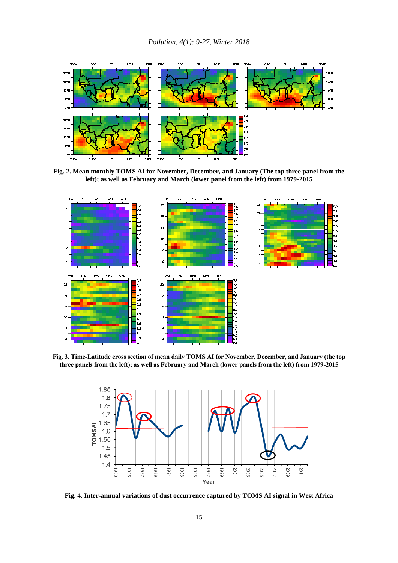

**Fig. 2. Mean monthly TOMS AI for November, December, and January (The top three panel from the left); as well as February and March (lower panel from the left) from 1979-2015**



**Fig. 3. Time-Latitude cross section of mean daily TOMS AI for November, December, and January (the top three panels from the left); as well as February and March (lower panels from the left) from 1979-2015**



**Fig. 4. Inter-annual variations of dust occurrence captured by TOMS AI signal in West Africa**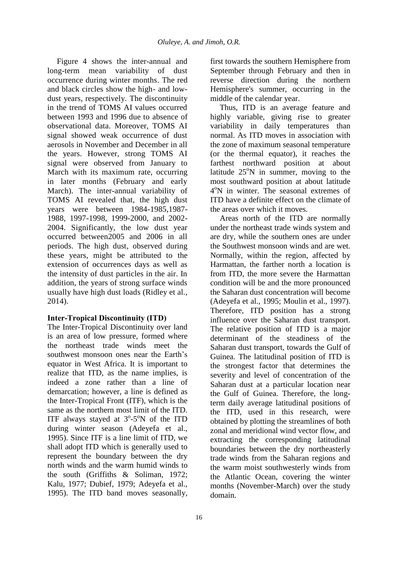Figure 4 shows the inter-annual and long-term mean variability of dust occurrence during winter months. The red and black circles show the high- and lowdust years, respectively. The discontinuity in the trend of TOMS AI values occurred between 1993 and 1996 due to absence of observational data. Moreover, TOMS AI signal showed weak occurrence of dust aerosols in November and December in all the years. However, strong TOMS AI signal were observed from January to March with its maximum rate, occurring in later months (February and early March). The inter-annual variability of TOMS AI revealed that, the high dust years were between 1984-1985,1987- 1988, 1997-1998, 1999-2000, and 2002- 2004. Significantly, the low dust year occurred between2005 and 2006 in all periods. The high dust, observed during these years, might be attributed to the extension of occurrences days as well as the intensity of dust particles in the air. In addition, the years of strong surface winds usually have high dust loads (Ridley et al., 2014).

# **Inter-Tropical Discontinuity (ITD)**

The Inter-Tropical Discontinuity over land is an area of low pressure, formed where the northeast trade winds meet the southwest monsoon ones near the Earth's equator in West Africa. It is important to realize that ITD, as the name implies, is indeed a zone rather than a line of demarcation; however, a line is defined as the Inter-Tropical Front (ITF), which is the same as the northern most limit of the ITD. ITF always stayed at  $3^{\circ}$ -5°N of the ITD during winter season (Adeyefa et al., 1995). Since ITF is a line limit of ITD, we shall adopt ITD which is generally used to represent the boundary between the dry north winds and the warm humid winds to the south (Griffiths & Soliman, 1972; Kalu, 1977; Dubief, 1979; Adeyefa et al., 1995). The ITD band moves seasonally,

first towards the southern Hemisphere from September through February and then in reverse direction during the northern Hemisphere's summer, occurring in the middle of the calendar year.

Thus, ITD is an average feature and highly variable, giving rise to greater variability in daily temperatures than normal. As ITD moves in association with the zone of maximum seasonal temperature (or the thermal equator), it reaches the farthest northward position at about latitude  $25^{\circ}$ N in summer, moving to the most southward position at about latitude 4 <sup>o</sup>N in winter. The seasonal extremes of ITD have a definite effect on the climate of the areas over which it moves.

Areas north of the ITD are normally under the northeast trade winds system and are dry, while the southern ones are under the Southwest monsoon winds and are wet. Normally, within the region, affected by Harmattan, the farther north a location is from ITD, the more severe the Harmattan condition will be and the more pronounced the Saharan dust concentration will become (Adeyefa et al., 1995; Moulin et al., 1997). Therefore, ITD position has a strong influence over the Saharan dust transport. The relative position of ITD is a major determinant of the steadiness of the Saharan dust transport, towards the Gulf of Guinea. The latitudinal position of ITD is the strongest factor that determines the severity and level of concentration of the Saharan dust at a particular location near the Gulf of Guinea. Therefore, the longterm daily average latitudinal positions of the ITD, used in this research, were obtained by plotting the streamlines of both zonal and meridional wind vector flow, and extracting the corresponding latitudinal boundaries between the dry northeasterly trade winds from the Saharan regions and the warm moist southwesterly winds from the Atlantic Ocean, covering the winter months (November-March) over the study domain.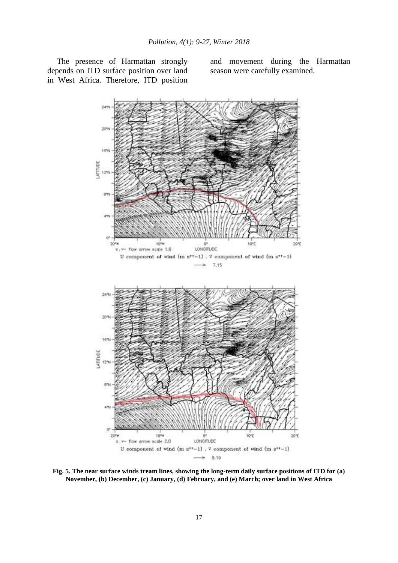The presence of Harmattan strongly depends on ITD surface position over land in West Africa. Therefore, ITD position and movement during the Harmattan season were carefully examined.



**Fig. 5. The near surface winds tream lines, showing the long-term daily surface positions of ITD for (a) November, (b) December, (c) January, (d) February, and (e) March; over land in West Africa**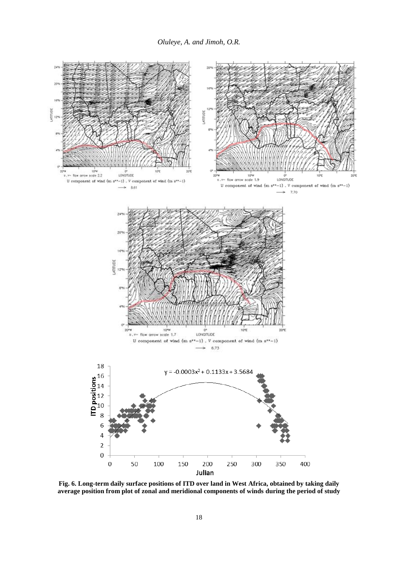

**Fig. 6. Long-term daily surface positions of ITD over land in West Africa, obtained by taking daily average position from plot of zonal and meridional components of winds during the period of study**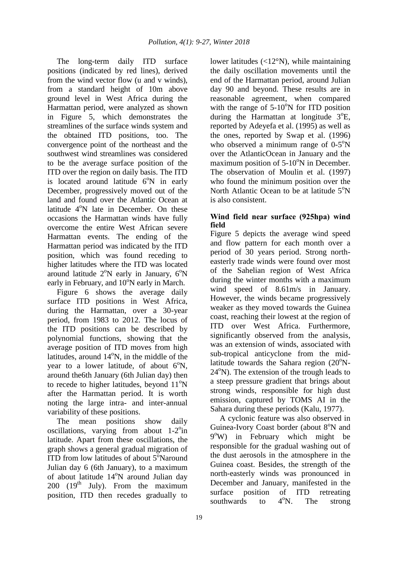The long-term daily ITD surface positions (indicated by red lines), derived from the wind vector flow (u and v winds), from a standard height of 10m above ground level in West Africa during the Harmattan period, were analyzed as shown in Figure 5, which demonstrates the streamlines of the surface winds system and the obtained ITD positions, too. The convergence point of the northeast and the southwest wind streamlines was considered to be the average surface position of the ITD over the region on daily basis. The ITD is located around latitude  $6^{\circ}$ N in early December, progressively moved out of the land and found over the Atlantic Ocean at latitude  $4^{\circ}$ N late in December. On these occasions the Harmattan winds have fully overcome the entire West African severe Harmattan events. The ending of the Harmattan period was indicated by the ITD position, which was found receding to higher latitudes where the ITD was located around latitude  $2^{\circ}N$  early in January,  $6^{\circ}N$ early in February, and  $10^{\circ}$ N early in March.

Figure 6 shows the average daily surface ITD positions in West Africa, during the Harmattan, over a 30-year period, from 1983 to 2012. The locus of the ITD positions can be described by polynomial functions, showing that the average position of ITD moves from high latitudes, around  $14^{\circ}$ N, in the middle of the year to a lower latitude, of about  $6^\circ$ N, around the6th January (6th Julian day) then to recede to higher latitudes, beyond  $11^{\circ}$ N after the Harmattan period. It is worth noting the large intra- and inter-annual variability of these positions.

The mean positions show daily oscillations, varying from about  $1-2$ <sup>o</sup>in latitude. Apart from these oscillations, the graph shows a general gradual migration of ITD from low latitudes of about 5°Naround Julian day 6 (6th January), to a maximum of about latitude  $14^{\circ}$ N around Julian day 200 ( $19<sup>th</sup>$  July). From the maximum position, ITD then recedes gradually to

lower latitudes (<12°N), while maintaining the daily oscillation movements until the end of the Harmattan period, around Julian day 90 and beyond. These results are in reasonable agreement, when compared with the range of  $5-10^{\circ}$ N for ITD position during the Harmattan at longitude  $3^{\circ}E$ , reported by Adeyefa et al. (1995) as well as the ones, reported by Swap et al. (1996) who observed a minimum range of  $0-5^\circ N$ over the AtlanticOcean in January and the maximum position of  $5-10^{\circ}$ N in December. The observation of Moulin et al. (1997) who found the minimum position over the North Atlantic Ocean to be at latitude  $5^{\circ}$ N is also consistent.

# **Wind field near surface (925hpa) wind field**

Figure 5 depicts the average wind speed and flow pattern for each month over a period of 30 years period. Strong northeasterly trade winds were found over most of the Sahelian region of West Africa during the winter months with a maximum wind speed of 8.61m/s in January. However, the winds became progressively weaker as they moved towards the Guinea coast, reaching their lowest at the region of ITD over West Africa. Furthermore, significantly observed from the analysis, was an extension of winds, associated with sub-tropical anticyclone from the midlatitude towards the Sahara region  $(20^{\circ}N 24^{\circ}$ N). The extension of the trough leads to a steep pressure gradient that brings about strong winds, responsible for high dust emission, captured by TOMS AI in the Sahara during these periods (Kalu, 1977).

A cyclonic feature was also observed in Guinea-Ivory Coast border (about 8<sup>o</sup>N and 9 <sup>o</sup>W) in February which might be responsible for the gradual washing out of the dust aerosols in the atmosphere in the Guinea coast. Besides, the strength of the north-easterly winds was pronounced in December and January, manifested in the surface position of ITD retreating southwards to  $4^\circ$ N. The strong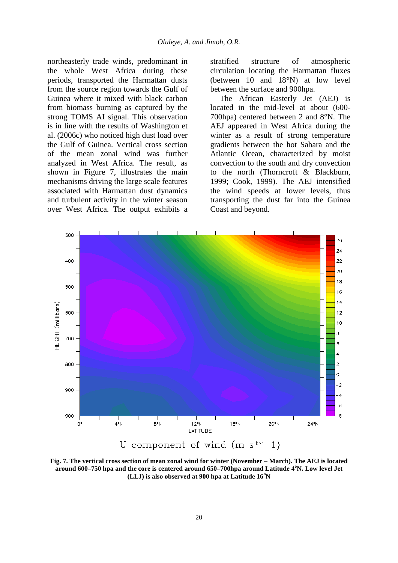northeasterly trade winds, predominant in the whole West Africa during these periods, transported the Harmattan dusts from the source region towards the Gulf of Guinea where it mixed with black carbon from biomass burning as captured by the strong TOMS AI signal. This observation is in line with the results of Washington et al. (2006c) who noticed high dust load over the Gulf of Guinea. Vertical cross section of the mean zonal wind was further analyzed in West Africa. The result, as shown in Figure 7, illustrates the main mechanisms driving the large scale features associated with Harmattan dust dynamics and turbulent activity in the winter season over West Africa. The output exhibits a stratified structure of atmospheric circulation locating the Harmattan fluxes (between 10 and 18°N) at low level between the surface and 900hpa.

The African Easterly Jet (AEJ) is located in the mid-level at about (600- 700hpa) centered between 2 and 8°N. The AEJ appeared in West Africa during the winter as a result of strong temperature gradients between the hot Sahara and the Atlantic Ocean, characterized by moist convection to the south and dry convection to the north (Thorncroft & Blackburn, 1999; Cook, 1999). The AEJ intensified the wind speeds at lower levels, thus transporting the dust far into the Guinea Coast and beyond.



**Fig. 7. The vertical cross section of mean zonal wind for winter (November – March). The AEJ is located around 600–750 hpa and the core is centered around 650–700hpa around Latitude 4<sup>o</sup>N. Low level Jet (LLJ) is also observed at 900 hpa at Latitude 16<sup>o</sup>N**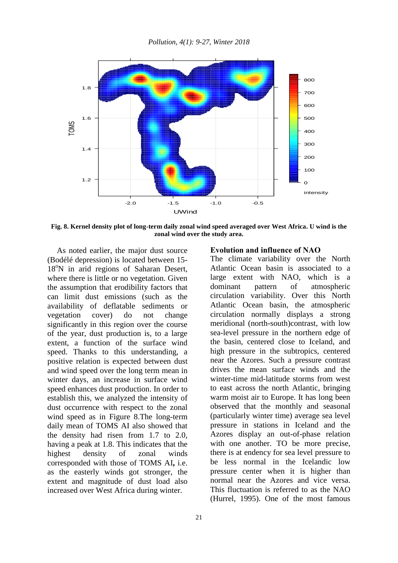

**Fig. 8. Kernel density plot of long-term daily zonal wind speed averaged over West Africa. U wind is the zonal wind over the study area.**

As noted earlier, the major dust source (Bodélé depression) is located between 15- 18<sup>o</sup>N in arid regions of Saharan Desert, where there is little or no vegetation. Given the assumption that erodibility factors that can limit dust emissions (such as the availability of deflatable sediments or vegetation cover) do not change significantly in this region over the course of the year, dust production is, to a large extent, a function of the surface wind speed. Thanks to this understanding, a positive relation is expected between dust and wind speed over the long term mean in winter days, an increase in surface wind speed enhances dust production. In order to establish this, we analyzed the intensity of dust occurrence with respect to the zonal wind speed as in Figure 8.The long-term daily mean of TOMS AI also showed that the density had risen from 1.7 to 2.0, having a peak at 1.8. This indicates that the highest density of zonal winds corresponded with those of TOMS AI**,** i.e. as the easterly winds got stronger, the extent and magnitude of dust load also increased over West Africa during winter.

#### **Evolution and influence of NAO**

The climate variability over the North Atlantic Ocean basin is associated to a large extent with NAO, which is a dominant pattern of atmospheric circulation variability. Over this North Atlantic Ocean basin, the atmospheric circulation normally displays a strong meridional (north-south)contrast, with low sea-level pressure in the northern edge of the basin, centered close to Iceland, and high pressure in the subtropics, centered near the Azores. Such a pressure contrast drives the mean surface winds and the winter-time mid-latitude storms from west to east across the north Atlantic, bringing warm moist air to Europe. It has long been observed that the monthly and seasonal (particularly winter time) average sea level pressure in stations in Iceland and the Azores display an out-of-phase relation with one another. TO be more precise, there is at endency for sea level pressure to be less normal in the Icelandic low pressure center when it is higher than normal near the Azores and vice versa. This fluctuation is referred to as the NAO (Hurrel, 1995). One of the most famous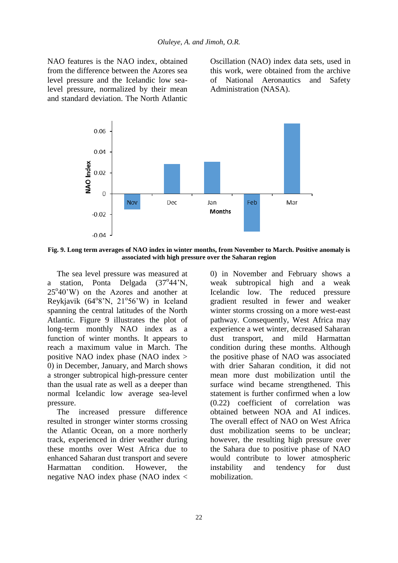NAO features is the NAO index, obtained from the difference between the Azores sea level pressure and the Icelandic low sealevel pressure, normalized by their mean and standard deviation. The North Atlantic Oscillation (NAO) index data sets, used in this work, were obtained from the archive of National Aeronautics and Safety Administration (NASA).



**Fig. 9. Long term averages of NAO index in winter months, from November to March. Positive anomaly is associated with high pressure over the Saharan region**

The sea level pressure was measured at a station, Ponta Delgada (37°44'N,  $25^{\circ}40^{\circ}$ W) on the Azores and another at Reykjavik (64°8'N, 21°56'W) in Iceland spanning the central latitudes of the North Atlantic. Figure 9 illustrates the plot of long-term monthly NAO index as a function of winter months. It appears to reach a maximum value in March. The positive NAO index phase (NAO index > 0) in December, January, and March shows a stronger subtropical high-pressure center than the usual rate as well as a deeper than normal Icelandic low average sea-level pressure.

The increased pressure difference resulted in stronger winter storms crossing the Atlantic Ocean, on a more northerly track, experienced in drier weather during these months over West Africa due to enhanced Saharan dust transport and severe Harmattan condition. However, the negative NAO index phase (NAO index < 0) in November and February shows a weak subtropical high and a weak Icelandic low. The reduced pressure gradient resulted in fewer and weaker winter storms crossing on a more west-east pathway. Consequently, West Africa may experience a wet winter, decreased Saharan dust transport, and mild Harmattan condition during these months. Although the positive phase of NAO was associated with drier Saharan condition, it did not mean more dust mobilization until the surface wind became strengthened. This statement is further confirmed when a low (0.22) coefficient of correlation was obtained between NOA and AI indices. The overall effect of NAO on West Africa dust mobilization seems to be unclear; however, the resulting high pressure over the Sahara due to positive phase of NAO would contribute to lower atmospheric instability and tendency for dust mobilization.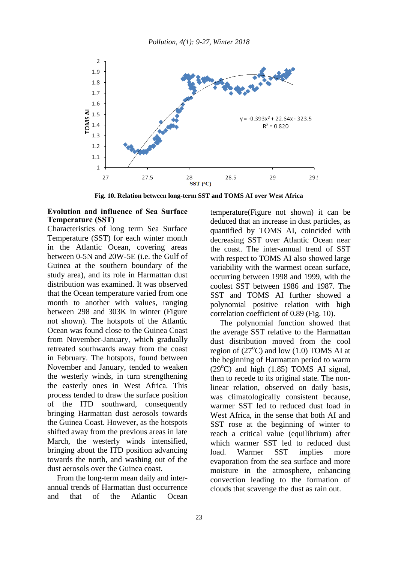

**Fig. 10. Relation between long-term SST and TOMS AI over West Africa**

#### **Evolution and influence of Sea Surface Temperature (SST)**

Characteristics of long term Sea Surface Temperature (SST) for each winter month in the Atlantic Ocean, covering areas between 0-5N and 20W-5E (i.e. the Gulf of Guinea at the southern boundary of the study area), and its role in Harmattan dust distribution was examined. It was observed that the Ocean temperature varied from one month to another with values, ranging between 298 and 303K in winter (Figure not shown). The hotspots of the Atlantic Ocean was found close to the Guinea Coast from November-January, which gradually retreated southwards away from the coast in February. The hotspots, found between November and January, tended to weaken the westerly winds, in turn strengthening the easterly ones in West Africa. This process tended to draw the surface position of the ITD southward, consequently bringing Harmattan dust aerosols towards the Guinea Coast. However, as the hotspots shifted away from the previous areas in late March, the westerly winds intensified, bringing about the ITD position advancing towards the north, and washing out of the dust aerosols over the Guinea coast.

From the long-term mean daily and interannual trends of Harmattan dust occurrence and that of the Atlantic Ocean temperature(Figure not shown) it can be deduced that an increase in dust particles, as quantified by TOMS AI, coincided with decreasing SST over Atlantic Ocean near the coast. The inter-annual trend of SST with respect to TOMS AI also showed large variability with the warmest ocean surface, occurring between 1998 and 1999, with the coolest SST between 1986 and 1987. The SST and TOMS AI further showed a polynomial positive relation with high correlation coefficient of 0.89 (Fig. 10).

The polynomial function showed that the average SST relative to the Harmattan dust distribution moved from the cool region of  $(27^{\circ}C)$  and low  $(1.0)$  TOMS AI at the beginning of Harmattan period to warm  $(29^{\circ}$ C) and high  $(1.85)$  TOMS AI signal, then to recede to its original state. The nonlinear relation, observed on daily basis, was climatologically consistent because, warmer SST led to reduced dust load in West Africa, in the sense that both AI and SST rose at the beginning of winter to reach a critical value (equilibrium) after which warmer SST led to reduced dust load. Warmer SST implies more evaporation from the sea surface and more moisture in the atmosphere, enhancing convection leading to the formation of clouds that scavenge the dust as rain out.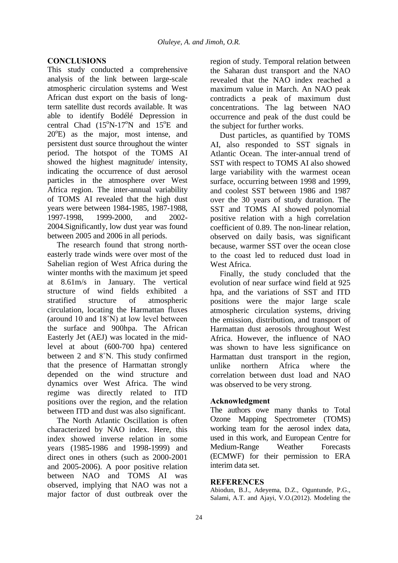# **CONCLUSIONS**

This study conducted a comprehensive analysis of the link between large-scale atmospheric circulation systems and West African dust export on the basis of longterm satellite dust records available. It was able to identify Bodélé Depression in central Chad  $(15^{\circ}N-17^{\circ}N$  and  $15^{\circ}E$  and 20°E) as the major, most intense, and persistent dust source throughout the winter period. The hotspot of the TOMS AI showed the highest magnitude/ intensity, indicating the occurrence of dust aerosol particles in the atmosphere over West Africa region. The inter-annual variability of TOMS AI revealed that the high dust years were between 1984-1985, 1987-1988, 1997-1998, 1999-2000, and 2002- 2004.Significantly, low dust year was found between 2005 and 2006 in all periods.

The research found that strong northeasterly trade winds were over most of the Sahelian region of West Africa during the winter months with the maximum jet speed at 8.61m/s in January. The vertical structure of wind fields exhibited a stratified structure of atmospheric circulation, locating the Harmattan fluxes (around 10 and 18˚N) at low level between the surface and 900hpa. The African Easterly Jet (AEJ) was located in the midlevel at about (600-700 hpa) centered between 2 and 8˚N. This study confirmed that the presence of Harmattan strongly depended on the wind structure and dynamics over West Africa. The wind regime was directly related to ITD positions over the region, and the relation between ITD and dust was also significant.

The North Atlantic Oscillation is often characterized by NAO index. Here, this index showed inverse relation in some years (1985-1986 and 1998-1999) and direct ones in others (such as 2000-2001 and 2005-2006). A poor positive relation between NAO and TOMS AI was observed, implying that NAO was not a major factor of dust outbreak over the region of study. Temporal relation between the Saharan dust transport and the NAO revealed that the NAO index reached a maximum value in March. An NAO peak contradicts a peak of maximum dust concentrations. The lag between NAO occurrence and peak of the dust could be the subject for further works.

Dust particles, as quantified by TOMS AI, also responded to SST signals in Atlantic Ocean. The inter-annual trend of SST with respect to TOMS AI also showed large variability with the warmest ocean surface, occurring between 1998 and 1999, and coolest SST between 1986 and 1987 over the 30 years of study duration. The SST and TOMS AI showed polynomial positive relation with a high correlation coefficient of 0.89. The non-linear relation, observed on daily basis, was significant because, warmer SST over the ocean close to the coast led to reduced dust load in West Africa.

Finally, the study concluded that the evolution of near surface wind field at 925 hpa, and the variations of SST and ITD positions were the major large scale atmospheric circulation systems, driving the emission, distribution, and transport of Harmattan dust aerosols throughout West Africa. However, the influence of NAO was shown to have less significance on Harmattan dust transport in the region, unlike northern Africa where the correlation between dust load and NAO was observed to be very strong.

# **Acknowledgment**

The authors owe many thanks to Total Ozone Mapping Spectrometer (TOMS) working team for the aerosol index data, used in this work, and European Centre for Medium-Range Weather Forecasts (ECMWF) for their permission to ERA interim data set.

## **REFERENCES**

Abiodun, B.J., Adeyema, D.Z., Oguntunde, P.G., Salami, A.T. and Ajayi, V.O.(2012). Modeling the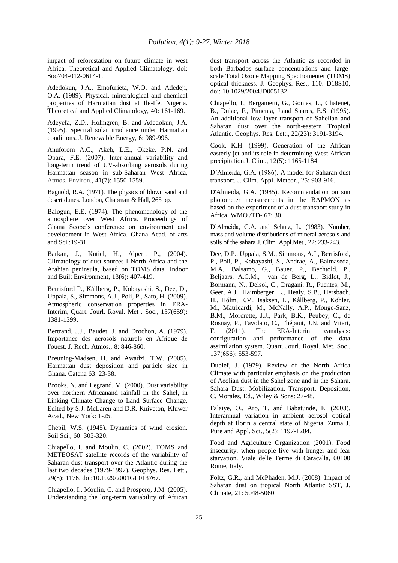impact of reforestation on future climate in west Africa. Theoretical and Applied Climatology, doi: Soo704-012-0614-1.

Adedokun, J.A., Emofurieta, W.O. and Adedeji, O.A. (1989). Physical, mineralogical and chemical properties of Harmattan dust at Ile-Ife, Nigeria. Theoretical and Applied Climatology, 40: 161-169.

Adeyefa, Z.D., Holmgren, B. and Adedokun, J.A. (1995). Spectral solar irradiance under Harmattan conditions. J. Renewable Energy, 6: 989-996.

Anuforom A.C., Akeh, L.E., Okeke, P.N. and Opara, F.E. (2007). Inter-annual variability and long-term trend of UV-absorbing aerosols during Harmattan season in sub-Saharan West Africa, Atmos. Environ., 41(7): 1550-1559.

Bagnold, R.A. (1971). The physics of blown sand and desert dunes. London, Chapman & Hall, 265 pp.

Balogun, E.E. (1974). The phenomenology of the atmosphere over West Africa. Proceedings of Ghana Scope's conference on environment and development in West Africa. Ghana Acad. of arts and Sci.:19-31.

Barkan, J., Kutiel, H., Alpert, P., (2004). Climatology of dust sources I North Africa and the Arabian peninsula, based on TOMS data. Indoor and Built Environment, 13(6): 407-419.

Berrisford P., Kållberg, P., Kobayashi, S., Dee, D., Uppala, S., Simmons, A.J., Poli, P., Sato, H. (2009). Atmospheric conservation properties in ERA-Interim, Quart. Jourl. Royal. Met . Soc., 137(659): 1381-1399.

Bertrand, J.J., Baudet, J. and Drochon, A. (1979). Importance des aerosols naturels en Afrique de I'ouest. J. Rech. Atmos., 8: 846-860.

Breuning-Madsen, H. and Awadzi, T.W. (2005). Harmattan dust deposition and particle size in Ghana. Catena 63: 23-38.

Brooks, N. and Legrand, M. (2000). Dust variability over northern Africanand rainfall in the Sahel, in Linking Climate Change to Land Surface Change. Edited by S.J. McLaren and D.R. Kniveton, Kluwer Acad., New York: 1-25.

Chepil, W.S. (1945). Dynamics of wind erosion. Soil Sci., 60: 305-320.

Chiapello, I. and Moulin, C. (2002). TOMS and METEOSAT satellite records of the variability of Saharan dust transport over the Atlantic during the last two decades (1979-1997). Geophys. Res. Lett., 29(8): 1176. doi:10.1029/2001GL013767.

Chiapello, I., Moulin, C. and Prospero, J.M. (2005). Understanding the long-term variability of African dust transport across the Atlantic as recorded in both Barbados surface concentrations and largescale Total Ozone Mapping Spectromenter (TOMS) optical thickness. J. Geophys. Res., 110: D18S10, doi: 10.1029/2004JD005132.

Chiapello, I., Bergametti, G., Gomes, L., Chatenet, B., Dulac, F., Pimenta, J.and Suares, E.S. (1995). An additional low layer transport of Sahelian and Saharan dust over the north-eastern Tropical Atlantic. Geophys. Res. Lett., 22(23): 3191-3194.

Cook, K.H. (1999), Generation of the African easterly jet and its role in determining West African precipitation.J. Clim., 12(5): 1165-1184.

D'Almeida, G.A. (1986). A model for Saharan dust transport. J. Clim. Appl. Meteor., 25: 903-916.

D'Almeida, G.A. (1985). Recommendation on sun photometer measurements in the BAPMON as based on the experiment of a dust transport study in Africa. WMO /TD- 67: 30.

D'Almeida, G.A. and Schutz, L. (1983). Number, mass and volume distributions of mineral aerosols and soils of the sahara J. Clim. Appl.Met., 22: 233-243.

Dee, D.P., Uppala, S.M., Simmons, A.J., Berrisford, P., Poli, P., Kobayashi, S., Andrae, A., Balmaseda, M.A., Balsamo, G., Bauer, P., Bechtold, P., Beljaars, A.C.M., van de Berg, L., Bidlot, J., Bormann, N., Delsol, C., Dragani, R., Fuentes, M., Geer, A.J., Haimberger, L., Healy, S.B., Hersbach, H., Hólm, E.V., Isaksen, L., Kållberg, P., Köhler, M., Matricardi, M., McNally, A.P., Monge-Sanz, B.M., Morcrette, J.J., Park, B.K., Peubey, C., de Rosnay, P., Tavolato, C., Thépaut, J.N. and Vitart, F. (2011). The ERA-Interim reanalysis: configuration and performance of the data assimilation system. Quart. Jourl. Royal. Met. Soc., 137(656): 553-597.

Dubief, J. (1979). Review of the North Africa Climate with particular emphasis on the production of Aeolian dust in the Sahel zone and in the Sahara. Sahara Dust: Mobilization, Transport, Deposition, C. Morales, Ed., Wiley & Sons: 27-48.

Falaiye, O., Aro, T. and Babatunde, E. (2003). Interannual variation in ambient aerosol optical depth at Ilorin a central state of Nigeria. Zuma J. Pure and Appl. Sci., 5(2): 1197-1204.

Food and Agriculture Organization (2001). Food insecurity: when people live with hunger and fear starvation. Viale delle Terme di Caracalla, 00100 Rome, Italy.

Foltz, G.R., and McPhaden, M.J. (2008). Impact of Saharan dust on tropical North Atlantic SST, J. Climate, 21: 5048-5060.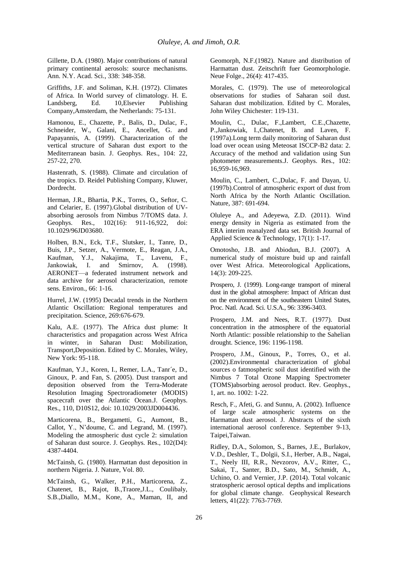Gillette, D.A. (1980). Major contributions of natural primary continental aerosols: source mechanisms. Ann. N.Y. Acad. Sci., 338: 348-358.

Griffiths, J.F. and Soliman, K.H. (1972). Climates of Africa. In World survey of climatology. H. E. Landsberg, Ed. 10,Elsevier Publishing Company,Amsterdam, the Netherlands: 75-131.

Hamonou, E., Chazette, P., Balis, D., Dulac, F., Schneider, W., Galani, E., Ancellet, G. and Papayannis, A. (1999). Characterization of the vertical structure of Saharan dust export to the Mediterranean basin. J. Geophys. Res., 104: 22, 257-22, 270.

Hastenrath, S. (1988). Climate and circulation of the tropics. D. Reidel Publishing Company, Kluwer, Dordrecht.

Herman, J.R., Bhartia, P.K., Torres, O., Seftor, C. and Celarier, E. (1997).Global distribution of UVabsorbing aerosols from Nimbus 7/TOMS data. J. Geophys. Res., 102(16): 911-16,922, doi: 10.1029/96JD03680.

Holben, B.N., Eck, T.F., Slutsker, I., Tanre, D., Buis, J.P., Setzer, A., Vermote, E., Reagan, J.A., Kaufman, Y.J., Nakajima, T., Lavenu, F., Jankowiak, I. and Smirnov, A. (1998). AERONET—a federated instrument network and data archive for aerosol characterization, remote sens. Environ., 66: 1-16.

Hurrel, J.W. (1995) Decadal trends in the Northern Atlantic Oscillation: Regional temperatures and precipitation. Science, 269:676-679.

Kalu, A.E. (1977). The Africa dust plume: It characteristics and propagation across West Africa in winter, in Saharan Dust: Mobilization, Transport,Deposition. Edited by C. Morales, Wiley, New York: 95-118.

Kaufman, Y.J., Koren, I., Remer, L.A., Tanr´e, D., Ginoux, P. and Fan, S. (2005). Dust transport and deposition observed from the Terra-Moderate Resolution Imaging Spectroradiometer (MODIS) spacecraft over the Atlantic Ocean.J. Geophys. Res., 110, D10S12, doi: 10.1029/2003JD004436.

Marticorena, B., Bergametti, G., Aumont, B., Callot, Y., N'doume, C. and Legrand, M. (1997). Modeling the atmospheric dust cycle 2: simulation of Saharan dust source. J. Geophys. Res., 102(D4): 4387-4404.

McTainsh, G. (1980). Harmattan dust deposition in northern Nigeria. J. Nature, Vol. 80.

McTainsh, G., Walker, P.H., Marticorena, Z., Chatenet, B., Rajot, B.,Traore,J.L., Coulibaly, S.B.,Diallo, M.M., Kone, A., Maman, II, and Geomorph, N.F.(1982). Nature and distribution of Harmattan dust. Zeitschrift fuer Geomorphologie. Neue Folge., 26(4): 417-435.

Morales, C. (1979). The use of meteorological observations for studies of Saharan soil dust. Saharan dust mobilization. Edited by C. Morales, John Wiley Chichester: 119-131.

Moulin, C., Dulac, F.,Lambert, C.E.,Chazette, P.,Jankowiak, I.,Chatenet, B. and Laven, F. (1997a).Long term daily monitoring of Saharan dust load over ocean using Meteosat ISCCP-B2 data: 2. Accuracy of the method and validation using Sun photometer measurements.J. Geophys. Res., 102: 16,959-16,969.

Moulin, C., Lambert, C.,Dulac, F. and Dayan, U. (1997b).Control of atmospheric export of dust from North Africa by the North Atlantic Oscillation. Nature, 387: 691-694.

Oluleye A., and Adeyewa, Z.D. (2011). Wind energy density in Nigeria as estimated from the ERA interim reanalyzed data set. British Journal of Applied Science & Technology, 17(1): 1-17.

Omotosho, J.B. and Abiodun, B.J. (2007). A numerical study of moisture buid up and rainfall over West Africa. Meteorological Applications, 14(3): 209-225.

Prospero, J. (1999). Long-range transport of mineral dust in the global atmosphere: Impact of African dust on the environment of the southeastern United States, Proc. Natl. Acad. Sci. U.S.A., 96: 3396-3403.

Prospero, J.M. and Nees, R.T. (1977). Dust concentration in the atmosphere of the equatorial North Atlantic: possible relationship to the Sahelian drought. Science, 196: 1196-1198.

Prospero, J.M., Ginoux, P., Torres, O., et al. (2002).Environmental characterization of global sources o fatmospheric soil dust identified with the Nimbus 7 Total Ozone Mapping Spectrometer (TOMS)absorbing aerosol product. Rev. Geophys., 1, art. no. 1002: 1-22.

Resch, F., Afeti, G. and Sunnu, A. (2002). Influence of large scale atmospheric systems on the Harmattan dust aerosol. J. Abstracts of the sixth international aerosol conference. September 9-13, Taipei,Taiwan.

Ridley, D.A., Solomon, S., Barnes, J.E., Burlakov, V.D., Deshler, T., Dolgii, S.I., Herber, A.B., Nagai, T., Neely III, R.R., Nevzorov, A.V., Ritter, C., Sakai, T., Santer, B.D., Sato, M., Schmidt, A., Uchino, O. and Vernier, J.P. (2014). Total volcanic stratospheric aerosol optical depths and implications for global climate change. Geophysical Research letters, 41(22): 7763-7769.